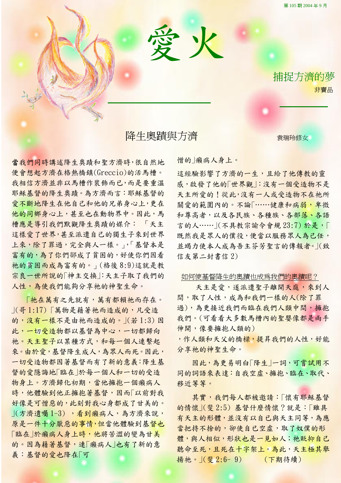第 105 期 2004 年 9 月

捕捉方濟的夢

非賣品

降生奧蹟與方濟 泰瑞玲修女

愛火

ī

L

當我們同時講述降生奧蹟和聖方濟時,很自然地 便會想起方濟在格熱橋鎮(Greccio)的活馬槽。 我相信方濟並非以馬槽作裝飾而已,而是要重溫 耶穌基督的降生奧蹟。為方濟而言:耶穌基督的 愛不斷地降生在他自己和他的兄弟身心上,更在 他的同鄉身心上,甚至也在動物界中。因此,馬 槽應是導引我們默觀降生奧蹟的媒介: 「天主 這樣愛了世界,甚至派遣自己的獨生子來到世界 上來,除了罪過,完全與人一樣。」,「基督本是 富有的,為了你們郤成了貧困的,好使你們因看 祂的貧困而成為富有的。」(格後 8:9)這就是教 宗良一世所說的「神主交換」:天主子取了我們的 人性,為使我們能夠分享祂的神聖生命。

「祂在萬有之先就有,萬有都賴祂而存在。 」(哥 1:17) 「萬物是藉著祂而造成的,凡受造 的,沒有一樣不是由祂而造成的。|(若1:3)因 此,一切受造物都以基督為中心,一切都歸向 祂。天主聖子以某種方式,和每一個人連繫起 來。由於愛,基督降生成人,為眾人而死。因此, 一切受造物都因著基督而有了新的意義:降生基 督的愛隱誨地「臨在」於每一個人和一切的受造 物身上。方濟歸化初期,當他擁抱一個癩病人 時,他體驗到他正擁抱著基督,因而「以前對我 好像是可憎惡的,此刻對我心身都成了甘美的。 」(方濟遺囑 1-3) ,看到癩病人,為方濟來說, 原是一件十分厭惡的事情,但當他體驗到基督也 [臨在 |於癩病人身上時,他將苦澀的變為甘美 的。因為藉著基督,連「癩病人」也有了新的意 義:基督的愛也降在「可

憎的」癩病人身上。

這經驗影響了方濟的一生,且給了他傳教的靈 感,啟發了他的「世界觀」:沒有一個受造物不是 天主所愛的!從此,沒有一人或受造物不在祂所 關愛的範圍內的。不論「……健康和病弱,卑微 和尊高者,以及各民族、各種族、各部落、各語 言的人…… | (不具教宗諭令會規 23:7) 於是, 既然我是眾人的僕役,便當以服務眾人為己任, 並竭力使本人成為吾主芬芳聖言的傳報者。」(致 信友第二封書信 2)

## 如何使基督降生的奧蹟也成為我們的奧蹟呢?

天主是愛,遂派遣聖子離開天庭,來到人 間,取了人性,成為和我們一樣的人(除了罪 過),為更接近我們而臨在我們人類中間,擁抱 我們。(可看看大多數馬槽內的聖嬰像都是兩手 伸開,像要擁抱人類的)

,作人類和天父的橋樑,提昇我們的人性,好能 分享祂的神聖生命。

因此,為更易明白「降生」一詞,可嘗試用不 同的詞語來表達:自我空虛、擁抱、臨在、取代、 移近等等。

其實,我們每人都被邀請:「懷有耶穌基督 的情懷」(斐 2:5) 基督什麼情懷?就是:「雖具 有天主的形體,並沒有以自已與天主同等,為應 當把持不捨的,卻使自已空虛,取了奴僕的形 體,與人相似,形狀也是一見如人;祂貶抑自己 聽命至死,且死在十字架上。為此,天主極其舉 揚祂。」(斐 2:6- 9) (下期待續)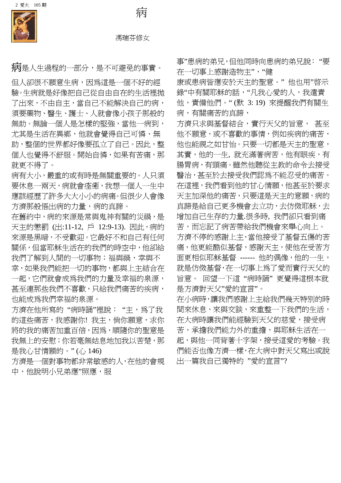

 $\overline{a}$ 馮瑞芬修女

病

病是人生過程的一部分,是不可避免的事實。

但人卻很不願意生病,因為這是一個不好的經 驗。生病就是好像把自己從自由自在的生活裡拋 了出來,不由自主,當自己不能解決自己的病, 須要藥物、醫生、護士、人就會像小孩子那般的 無助。無論一個人是怎樣的堅強,當他一病到, 尤其是生活在異鄉,他就會覺得自己可憐、無 助,整個的世界都好像要孤立了自己。因此,整 個人也覺得不舒服。開始自憐,如果有苦痛,那 就更不得了。

病有大小,嚴重的或有時是無關重要的。人只須 要休息一兩天,病就會痊癒,我想一個人一生中 應該經歷了許多大大小小的病痛。但很少人會像 方濟那般悟出病的力量,病的真諦。

在舊約中,病的來源是常與鬼神有關的災禍,是 天主的懲罰 (出:11-12, 戶 12:9-13). 因此,病的 來源是黑暗,不受歡迎。它最好不和自己有任何 關係,但當耶穌生活在的我們的時空中,他卻給 我們了解到人間的一切事物;福與禍,幸與不 幸,如果我們能把一切的事物,都與上主結合在 一起,它們就會成為我們的力量及幸福的泉源, 甚至連那些我們不喜歡,只給我們痛苦的疾病, 也能成為我們幸福的泉源。

方濟在他所寫的 "病時誦"裡說: "主,為了我 的這些痛苦,我感謝你!我主,倘你願意,求你 將的我的痛苦加重百倍,因為,順隨你的聖意是 我無上的安慰;你若毫無姑息地加我以苦楚,那 是我心甘情願的。" (心 146)

方濟是一個對事物都非常敏感的人,在他的會規 中,他說明小兄弟應"照應,服

事"患病的弟兄,但他同時向患病的弟兄說: "要 在一切事上感謝造物主","健

康或患病皆應安於天主的聖意。"他也用"啓示 錄"中有關耶穌的話, "凡我心愛的人, 我遣責 他,責備他們。" (默 3: 19) 來提醒我們有關生 病,有關痛苦的真諦,

方濟只求與基督結合,實行天父的旨意, 甚至 他不願意,或不喜歡的事情,例如疾病的痛苦, 他也能視之如甘怡。只要一切都是天主的聖意, 其實, 他的一生, 就充滿著病苦, 他有眼疾, 有 腸胃病,有頭痛。雖然他聽從主教的命令去接受 醫治,甚至於去接受我們認為不能忍受的痛苦。 在這裡,我們看到他的甘心情願,他甚至於要求 天主加深他的痛苦,只要這是天主的意願,病的 真諦是給自己更多機會去立功,去仿傚耶穌,去 增加自己生存的力量.很多時, 我們卻只看到痛 苦,而忘記了病苦帶給我們機會來舉心向上。 方濟不停的感謝上主,當他接受了基督五傷的苦 痛,他更能酷似基督,感謝天主,使他在受苦方 面更相似耶穌基督 ------ 他的偶像, 他的一生, 就是仿傚基督,在一切事上為了愛而實行天父的 旨意。 回望一下這 "病時誦" 更覺得這根本就 是方濟對天父"愛的宣言"。

在小病時,讓我們感謝上主給我們幾天特別的時 間來休息,來與交談,來重整一下我們的生活, 在大病時讓我們能經驗到天父的慈愛,接受病 苦,承擔我們能力外的重擔,與耶穌生活在一 起,與他一同背著十字架,接受這愛的考驗。我 們能否也像方濟一樣,在大病中對天父寫出或說 出一篇我自己獨特的 "愛的宣言"?